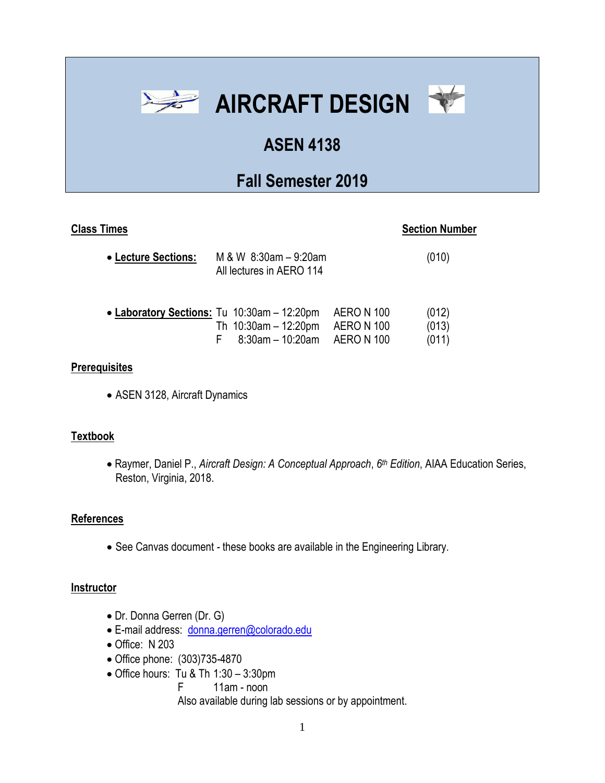

# **ASEN 4138**

# **Fall Semester 2019**

# **Class Times** Section Number

| • Lecture Sections:                         | M & W $8:30$ am $-9:20$ am<br>All lectures in AERO 114                                              | (010)                   |
|---------------------------------------------|-----------------------------------------------------------------------------------------------------|-------------------------|
| • Laboratory Sections: Tu 10:30am - 12:20pm | AERO N 100<br>Th $10:30$ am - 12:20pm<br><b>AERO N 100</b><br>8:30am - 10:20am<br><b>AERO N 100</b> | (012)<br>(013)<br>(011) |

#### **Prerequisites**

• ASEN 3128, Aircraft Dynamics

## **Textbook**

• Raymer, Daniel P., *Aircraft Design: A Conceptual Approach*, *6 th Edition*, AIAA Education Series, Reston, Virginia, 2018.

## **References**

• See Canvas document - these books are available in the Engineering Library.

#### **Instructor**

- Dr. Donna Gerren (Dr. G)
- E-mail address: [donna.gerren@colorado.edu](mailto:donna.gerren@colorado.edu)
- Office: N 203
- Office phone: (303)735-4870
- Office hours: Tu & Th 1:30 3:30pm
	- F 11am noon

Also available during lab sessions or by appointment.